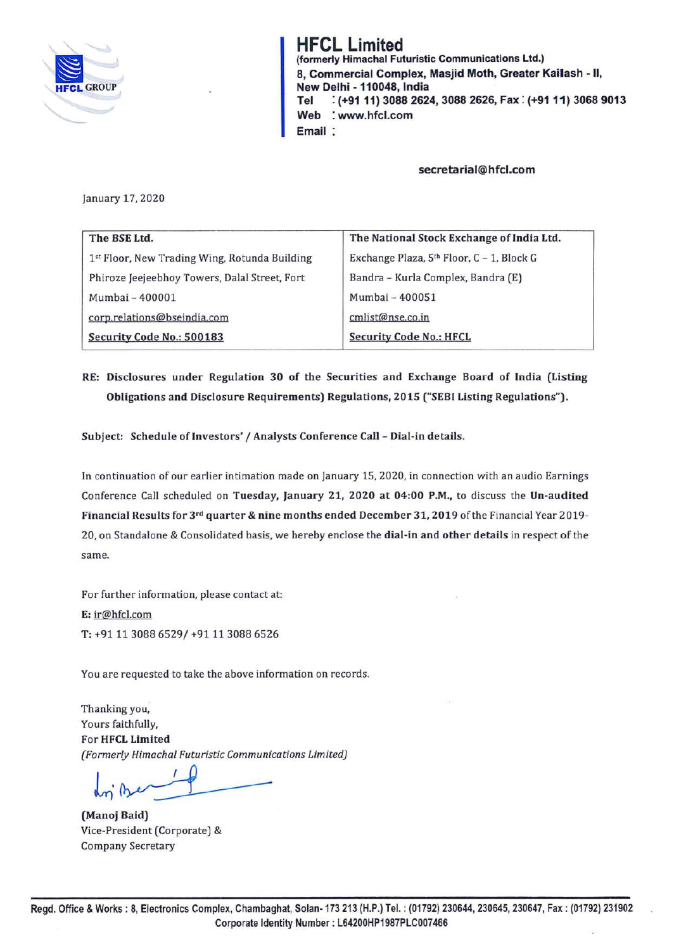

**HFCL Limited**  (formerly Himachal Futuristic Communications Ltd.) 8, Commercial Complex, Masjid Moth, Greater Kailash • II, New Delhi - **110048,** India **Tel** : **(+9111) 3088 2624, 3088 2626, Fax: (+9111) 3068 9013 Web** : **www.hfcl.com Email** 

**secretarial@hfcl.com** 

January 17, 2020

| The BSE Ltd.                                  | The National Stock Exchange of India Ltd. |
|-----------------------------------------------|-------------------------------------------|
| 1st Floor, New Trading Wing, Rotunda Building | Exchange Plaza, 5th Floor, C - 1, Block G |
| Phiroze Jeejeebhoy Towers, Dalal Street, Fort | Bandra - Kurla Complex, Bandra (E)        |
| Mumbai - 400001                               | Mumbai - 400051                           |
| corp.relations@bseindia.com                   | cmlist@nse.co.in                          |
| Security Code No.: 500183                     | <b>Security Code No.: HFCL</b>            |

## **RE: Disclosures under Regulation 30 of the Securities and Exchange Board of India (Listing Obligations and Disclosure Requirements) Regulations, 2015 ("SEBI Listing Regulations").**

**Subject: Schedule of Investors'/ Analysts Conference Call** - **Dial-in details.** 

In continuation of our earlier intimation made on January 15, 2020, in connection with an audio Earnings Conference Call scheduled on **Tuesday, January 21, 2020 at 04:00 P.M.,** to discuss the **Un-audited Financial Results for 3rd quarter** & **nine months ended December 31, 2019** of the Financial Year 2019- 20, on Standalone & Consolidated basis, we hereby enclose the **dial-in and other details** in respect of the same.

For further information, please contact at: **E:** ir@hfcl.com T: +91 11 3088 6529/ +91 11 3088 6526

You are requested to take the above information on records.

Thanking you, Yours faithfully, For **HFCL Limited**  *(Formerly Himachal Futuristic Communications Limited)* 

 $m$  be

**(Manoj Baid)**  Vice-President (Corporate) & Company Secretary